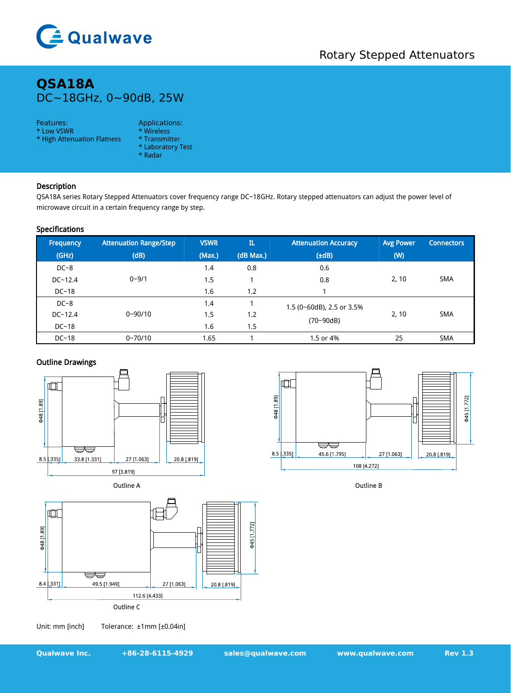

# **QSA18A** DC~18GHz, 0~90dB, 25W

### Features: Applications:

- \* Low VSWR \* Wireless<br>\* High Attenuation Flatness \* Transmitter
- \* High Attenuation Flatness
- 
- \* Laboratory Test
- \* Radar

# Description

QSA18A series Rotary Stepped Attenuators cover frequency range DC~18GHz. Rotary stepped attenuators can adjust the power level of microwave circuit in a certain frequency range by step.

## Specifications

| Frequency   | <b>Attenuation Range/Step</b> | <b>VSWR</b> | $\mathbf{I}$ | <b>Attenuation Accuracy</b>                | <b>Avg Power</b> | <b>Connectors</b> |
|-------------|-------------------------------|-------------|--------------|--------------------------------------------|------------------|-------------------|
| (GHz)       | (dB)                          | (Max.)      | (dB Max.)    | $(\pm dB)$                                 | (W)              |                   |
| $DC-8$      | $0 - 9/1$                     | 1.4         | 0.8          | 0.6                                        | 2, 10            | <b>SMA</b>        |
| $DC - 12.4$ |                               | 1.5         |              | 0.8                                        |                  |                   |
| $DC-18$     |                               | 1.6         | 1.2          |                                            |                  |                   |
| $DC-8$      | $0 - 90/10$                   | 1.4         |              | 1.5 (0~60dB), 2.5 or 3.5%<br>$(70 - 90dB)$ | 2, 10            | <b>SMA</b>        |
| $DC - 12.4$ |                               | 1.5         | 1.2          |                                            |                  |                   |
| $DC-18$     |                               | 1.6         | 1.5          |                                            |                  |                   |
| $DC-18$     | $0 - 70/10$                   | 1.65        |              | 1.5 or 4%                                  | 25               | <b>SMA</b>        |

## Outline Drawings



Outline A



Outline B



Unit: mm [inch] Tolerance: ±1mm [±0.04in]